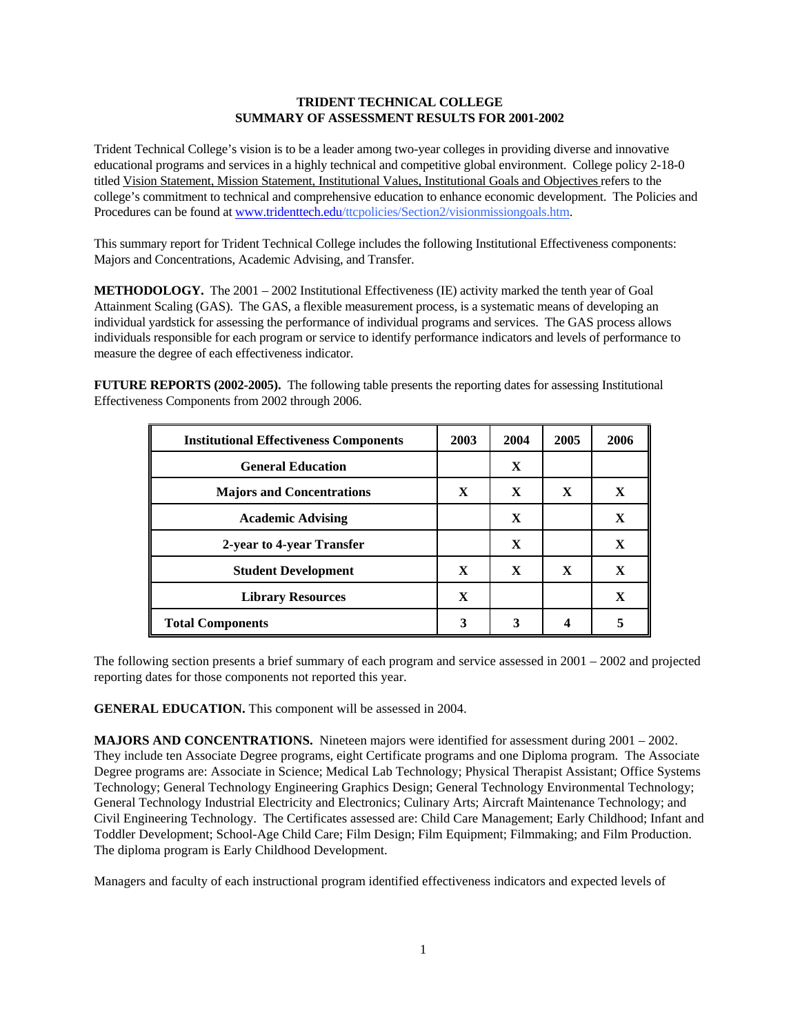## **TRIDENT TECHNICAL COLLEGE SUMMARY OF ASSESSMENT RESULTS FOR 2001-2002**

Trident Technical College's vision is to be a leader among two-year colleges in providing diverse and innovative educational programs and services in a highly technical and competitive global environment. College policy 2-18-0 titled Vision Statement, Mission Statement, Institutional Values, Institutional Goals and Objectives refers to the college's commitment to technical and comprehensive education to enhance economic development. The Policies and Procedures can be found at [www.tridenttech.edu](http://www.tridenttech.edu/)/ttcpolicies/Section2/visionmissiongoals.htm.

This summary report for Trident Technical College includes the following Institutional Effectiveness components: Majors and Concentrations, Academic Advising, and Transfer.

**METHODOLOGY.** The 2001 – 2002 Institutional Effectiveness (IE) activity marked the tenth year of Goal Attainment Scaling (GAS). The GAS, a flexible measurement process, is a systematic means of developing an individual yardstick for assessing the performance of individual programs and services. The GAS process allows individuals responsible for each program or service to identify performance indicators and levels of performance to measure the degree of each effectiveness indicator.

**FUTURE REPORTS (2002-2005).** The following table presents the reporting dates for assessing Institutional Effectiveness Components from 2002 through 2006.

| <b>Institutional Effectiveness Components</b> | 2003         | 2004         | 2005         | 2006 |
|-----------------------------------------------|--------------|--------------|--------------|------|
| <b>General Education</b>                      |              | X            |              |      |
| <b>Majors and Concentrations</b>              | $\mathbf{X}$ | $\mathbf{X}$ | X            | X    |
| <b>Academic Advising</b>                      |              | X            |              | X    |
| 2-year to 4-year Transfer                     |              | X            |              | X    |
| <b>Student Development</b>                    | $\mathbf{X}$ | $\mathbf{x}$ | $\mathbf{x}$ | X    |
| <b>Library Resources</b>                      | $\mathbf x$  |              |              | X    |
| <b>Total Components</b>                       | 3            |              |              |      |

The following section presents a brief summary of each program and service assessed in 2001 – 2002 and projected reporting dates for those components not reported this year.

**GENERAL EDUCATION.** This component will be assessed in 2004.

**MAJORS AND CONCENTRATIONS.** Nineteen majors were identified for assessment during 2001 – 2002. They include ten Associate Degree programs, eight Certificate programs and one Diploma program. The Associate Degree programs are: Associate in Science; Medical Lab Technology; Physical Therapist Assistant; Office Systems Technology; General Technology Engineering Graphics Design; General Technology Environmental Technology; General Technology Industrial Electricity and Electronics; Culinary Arts; Aircraft Maintenance Technology; and Civil Engineering Technology. The Certificates assessed are: Child Care Management; Early Childhood; Infant and Toddler Development; School-Age Child Care; Film Design; Film Equipment; Filmmaking; and Film Production. The diploma program is Early Childhood Development.

Managers and faculty of each instructional program identified effectiveness indicators and expected levels of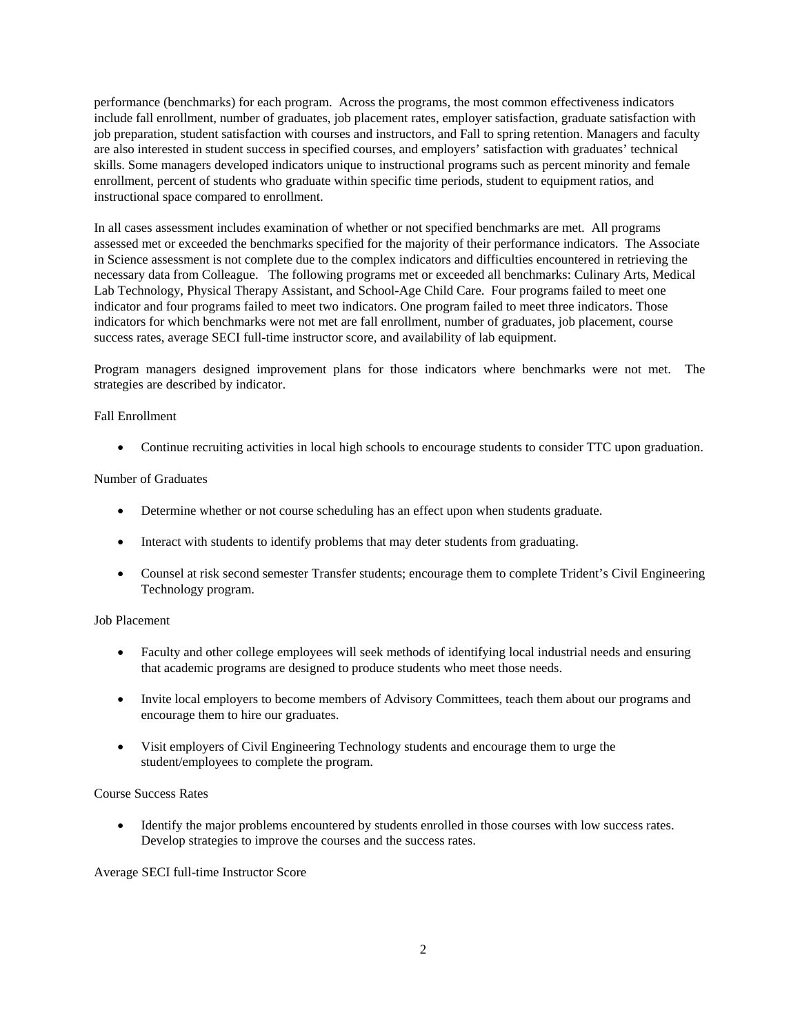performance (benchmarks) for each program. Across the programs, the most common effectiveness indicators include fall enrollment, number of graduates, job placement rates, employer satisfaction, graduate satisfaction with job preparation, student satisfaction with courses and instructors, and Fall to spring retention. Managers and faculty are also interested in student success in specified courses, and employers' satisfaction with graduates' technical skills. Some managers developed indicators unique to instructional programs such as percent minority and female enrollment, percent of students who graduate within specific time periods, student to equipment ratios, and instructional space compared to enrollment.

In all cases assessment includes examination of whether or not specified benchmarks are met. All programs assessed met or exceeded the benchmarks specified for the majority of their performance indicators. The Associate in Science assessment is not complete due to the complex indicators and difficulties encountered in retrieving the necessary data from Colleague. The following programs met or exceeded all benchmarks: Culinary Arts, Medical Lab Technology, Physical Therapy Assistant, and School-Age Child Care. Four programs failed to meet one indicator and four programs failed to meet two indicators. One program failed to meet three indicators. Those indicators for which benchmarks were not met are fall enrollment, number of graduates, job placement, course success rates, average SECI full-time instructor score, and availability of lab equipment.

Program managers designed improvement plans for those indicators where benchmarks were not met. The strategies are described by indicator.

### Fall Enrollment

• Continue recruiting activities in local high schools to encourage students to consider TTC upon graduation.

### Number of Graduates

- Determine whether or not course scheduling has an effect upon when students graduate.
- Interact with students to identify problems that may deter students from graduating.
- Counsel at risk second semester Transfer students; encourage them to complete Trident's Civil Engineering Technology program.

### Job Placement

- Faculty and other college employees will seek methods of identifying local industrial needs and ensuring that academic programs are designed to produce students who meet those needs.
- Invite local employers to become members of Advisory Committees, teach them about our programs and encourage them to hire our graduates.
- Visit employers of Civil Engineering Technology students and encourage them to urge the student/employees to complete the program.

# Course Success Rates

• Identify the major problems encountered by students enrolled in those courses with low success rates. Develop strategies to improve the courses and the success rates.

### Average SECI full-time Instructor Score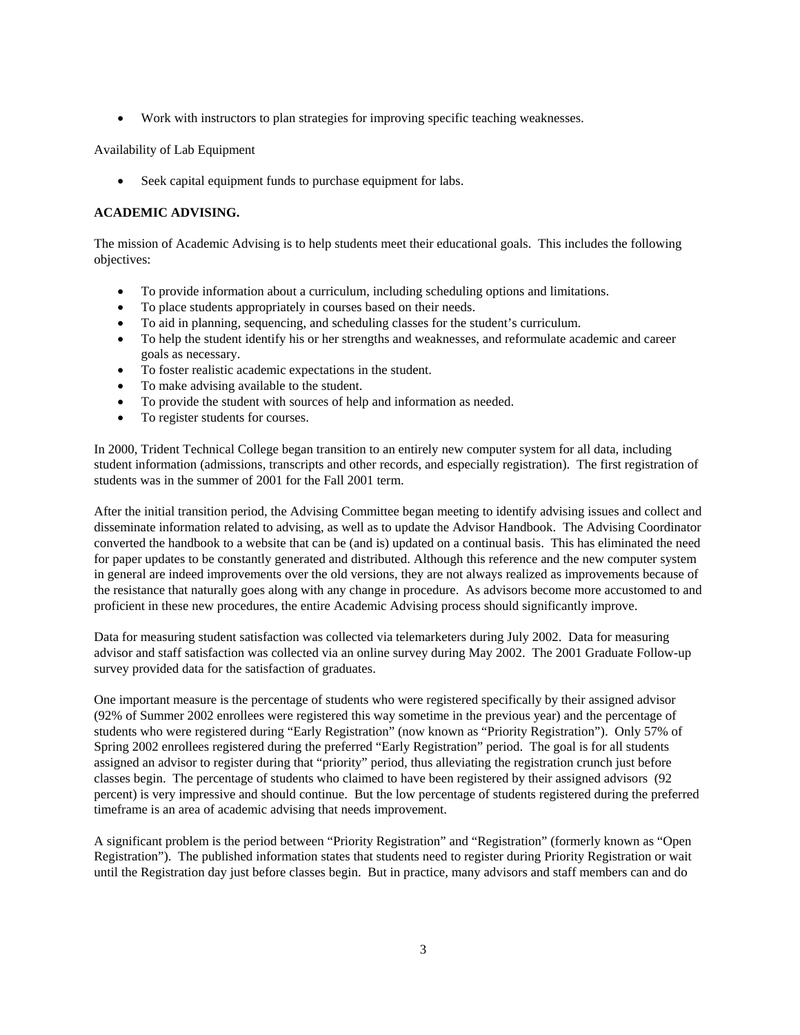• Work with instructors to plan strategies for improving specific teaching weaknesses.

## Availability of Lab Equipment

Seek capital equipment funds to purchase equipment for labs.

# **ACADEMIC ADVISING.**

The mission of Academic Advising is to help students meet their educational goals. This includes the following objectives:

- To provide information about a curriculum, including scheduling options and limitations.
- To place students appropriately in courses based on their needs.
- To aid in planning, sequencing, and scheduling classes for the student's curriculum.
- To help the student identify his or her strengths and weaknesses, and reformulate academic and career goals as necessary.
- To foster realistic academic expectations in the student.
- To make advising available to the student.
- To provide the student with sources of help and information as needed.
- To register students for courses.

In 2000, Trident Technical College began transition to an entirely new computer system for all data, including student information (admissions, transcripts and other records, and especially registration). The first registration of students was in the summer of 2001 for the Fall 2001 term.

After the initial transition period, the Advising Committee began meeting to identify advising issues and collect and disseminate information related to advising, as well as to update the Advisor Handbook. The Advising Coordinator converted the handbook to a website that can be (and is) updated on a continual basis. This has eliminated the need for paper updates to be constantly generated and distributed. Although this reference and the new computer system in general are indeed improvements over the old versions, they are not always realized as improvements because of the resistance that naturally goes along with any change in procedure. As advisors become more accustomed to and proficient in these new procedures, the entire Academic Advising process should significantly improve.

Data for measuring student satisfaction was collected via telemarketers during July 2002. Data for measuring advisor and staff satisfaction was collected via an online survey during May 2002. The 2001 Graduate Follow-up survey provided data for the satisfaction of graduates.

One important measure is the percentage of students who were registered specifically by their assigned advisor (92% of Summer 2002 enrollees were registered this way sometime in the previous year) and the percentage of students who were registered during "Early Registration" (now known as "Priority Registration"). Only 57% of Spring 2002 enrollees registered during the preferred "Early Registration" period. The goal is for all students assigned an advisor to register during that "priority" period, thus alleviating the registration crunch just before classes begin. The percentage of students who claimed to have been registered by their assigned advisors (92 percent) is very impressive and should continue. But the low percentage of students registered during the preferred timeframe is an area of academic advising that needs improvement.

A significant problem is the period between "Priority Registration" and "Registration" (formerly known as "Open Registration"). The published information states that students need to register during Priority Registration or wait until the Registration day just before classes begin. But in practice, many advisors and staff members can and do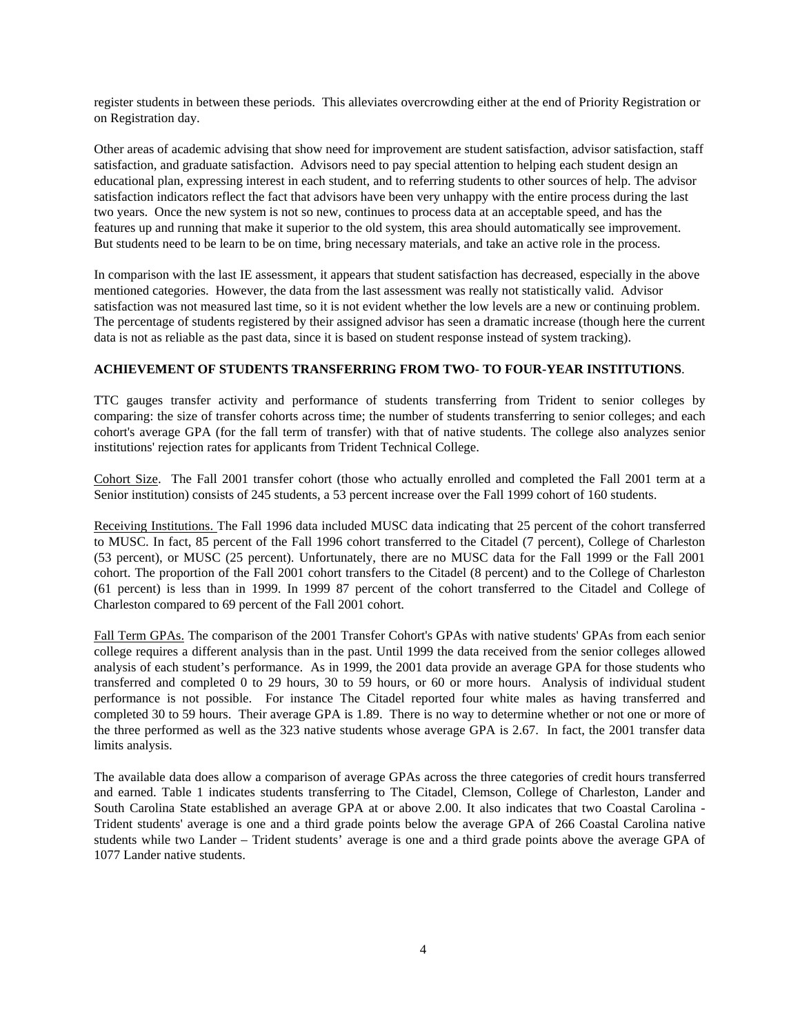register students in between these periods. This alleviates overcrowding either at the end of Priority Registration or on Registration day.

Other areas of academic advising that show need for improvement are student satisfaction, advisor satisfaction, staff satisfaction, and graduate satisfaction. Advisors need to pay special attention to helping each student design an educational plan, expressing interest in each student, and to referring students to other sources of help. The advisor satisfaction indicators reflect the fact that advisors have been very unhappy with the entire process during the last two years. Once the new system is not so new, continues to process data at an acceptable speed, and has the features up and running that make it superior to the old system, this area should automatically see improvement. But students need to be learn to be on time, bring necessary materials, and take an active role in the process.

In comparison with the last IE assessment, it appears that student satisfaction has decreased, especially in the above mentioned categories. However, the data from the last assessment was really not statistically valid. Advisor satisfaction was not measured last time, so it is not evident whether the low levels are a new or continuing problem. The percentage of students registered by their assigned advisor has seen a dramatic increase (though here the current data is not as reliable as the past data, since it is based on student response instead of system tracking).

#### **ACHIEVEMENT OF STUDENTS TRANSFERRING FROM TWO- TO FOUR-YEAR INSTITUTIONS**.

TTC gauges transfer activity and performance of students transferring from Trident to senior colleges by comparing: the size of transfer cohorts across time; the number of students transferring to senior colleges; and each cohort's average GPA (for the fall term of transfer) with that of native students. The college also analyzes senior institutions' rejection rates for applicants from Trident Technical College.

Cohort Size. The Fall 2001 transfer cohort (those who actually enrolled and completed the Fall 2001 term at a Senior institution) consists of 245 students, a 53 percent increase over the Fall 1999 cohort of 160 students.

Receiving Institutions. The Fall 1996 data included MUSC data indicating that 25 percent of the cohort transferred to MUSC. In fact, 85 percent of the Fall 1996 cohort transferred to the Citadel (7 percent), College of Charleston (53 percent), or MUSC (25 percent). Unfortunately, there are no MUSC data for the Fall 1999 or the Fall 2001 cohort. The proportion of the Fall 2001 cohort transfers to the Citadel (8 percent) and to the College of Charleston (61 percent) is less than in 1999. In 1999 87 percent of the cohort transferred to the Citadel and College of Charleston compared to 69 percent of the Fall 2001 cohort.

Fall Term GPAs. The comparison of the 2001 Transfer Cohort's GPAs with native students' GPAs from each senior college requires a different analysis than in the past. Until 1999 the data received from the senior colleges allowed analysis of each student's performance. As in 1999, the 2001 data provide an average GPA for those students who transferred and completed 0 to 29 hours, 30 to 59 hours, or 60 or more hours. Analysis of individual student performance is not possible. For instance The Citadel reported four white males as having transferred and completed 30 to 59 hours. Their average GPA is 1.89. There is no way to determine whether or not one or more of the three performed as well as the 323 native students whose average GPA is 2.67. In fact, the 2001 transfer data limits analysis.

The available data does allow a comparison of average GPAs across the three categories of credit hours transferred and earned. Table 1 indicates students transferring to The Citadel, Clemson, College of Charleston, Lander and South Carolina State established an average GPA at or above 2.00. It also indicates that two Coastal Carolina - Trident students' average is one and a third grade points below the average GPA of 266 Coastal Carolina native students while two Lander – Trident students' average is one and a third grade points above the average GPA of 1077 Lander native students.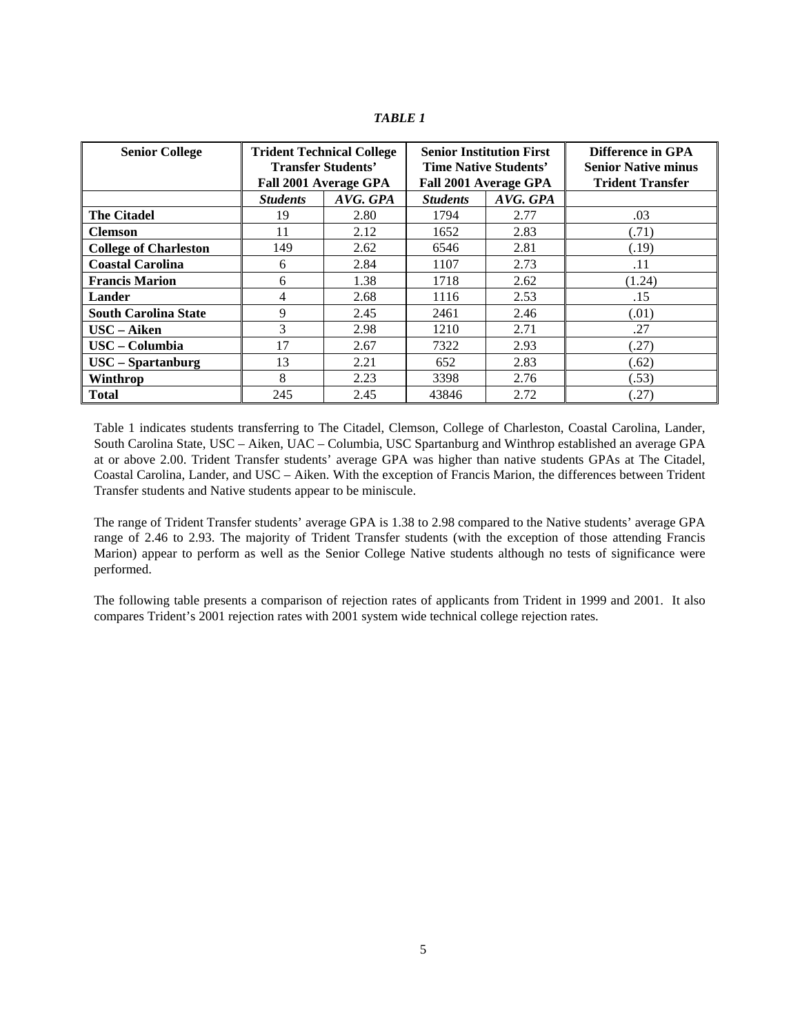| <b>Senior College</b>        |                 | <b>Trident Technical College</b><br><b>Transfer Students'</b><br>Fall 2001 Average GPA |                 | <b>Senior Institution First</b><br><b>Time Native Students'</b><br>Fall 2001 Average GPA | Difference in GPA<br><b>Senior Native minus</b><br><b>Trident Transfer</b> |  |  |
|------------------------------|-----------------|----------------------------------------------------------------------------------------|-----------------|------------------------------------------------------------------------------------------|----------------------------------------------------------------------------|--|--|
|                              | <b>Students</b> | AVG. GPA                                                                               | <b>Students</b> | AVG. GPA                                                                                 |                                                                            |  |  |
| <b>The Citadel</b>           | 19              | 2.80                                                                                   | 1794            | 2.77                                                                                     | .03                                                                        |  |  |
| <b>Clemson</b>               | 11              | 2.12                                                                                   | 1652            | 2.83                                                                                     | (.71)                                                                      |  |  |
| <b>College of Charleston</b> | 149             | 2.62                                                                                   | 6546            | 2.81                                                                                     | (.19)                                                                      |  |  |
| <b>Coastal Carolina</b>      | 6               | 2.84                                                                                   | 1107            | 2.73                                                                                     | .11                                                                        |  |  |
| <b>Francis Marion</b>        | 6               | 1.38                                                                                   | 1718            | 2.62                                                                                     | (1.24)                                                                     |  |  |
| Lander                       | 4               | 2.68                                                                                   | 1116            | 2.53                                                                                     | .15                                                                        |  |  |
| <b>South Carolina State</b>  | 9               | 2.45                                                                                   | 2461            | 2.46                                                                                     | (.01)                                                                      |  |  |
| USC - Aiken                  | 3               | 2.98                                                                                   | 1210            | 2.71                                                                                     | .27                                                                        |  |  |
| USC - Columbia               | 17              | 2.67                                                                                   | 7322            | 2.93                                                                                     | (.27)                                                                      |  |  |
| $USC -$ Spartanburg          | 13              | 2.21                                                                                   | 652             | 2.83                                                                                     | (.62)                                                                      |  |  |
| Winthrop                     | 8               | 2.23                                                                                   | 3398            | 2.76                                                                                     | (.53)                                                                      |  |  |
| <b>Total</b>                 | 245             | 2.45                                                                                   | 43846           | 2.72                                                                                     | (.27)                                                                      |  |  |

*TABLE 1* 

Table 1 indicates students transferring to The Citadel, Clemson, College of Charleston, Coastal Carolina, Lander, South Carolina State, USC – Aiken, UAC – Columbia, USC Spartanburg and Winthrop established an average GPA at or above 2.00. Trident Transfer students' average GPA was higher than native students GPAs at The Citadel, Coastal Carolina, Lander, and USC – Aiken. With the exception of Francis Marion, the differences between Trident Transfer students and Native students appear to be miniscule.

The range of Trident Transfer students' average GPA is 1.38 to 2.98 compared to the Native students' average GPA range of 2.46 to 2.93. The majority of Trident Transfer students (with the exception of those attending Francis Marion) appear to perform as well as the Senior College Native students although no tests of significance were performed.

The following table presents a comparison of rejection rates of applicants from Trident in 1999 and 2001. It also compares Trident's 2001 rejection rates with 2001 system wide technical college rejection rates.